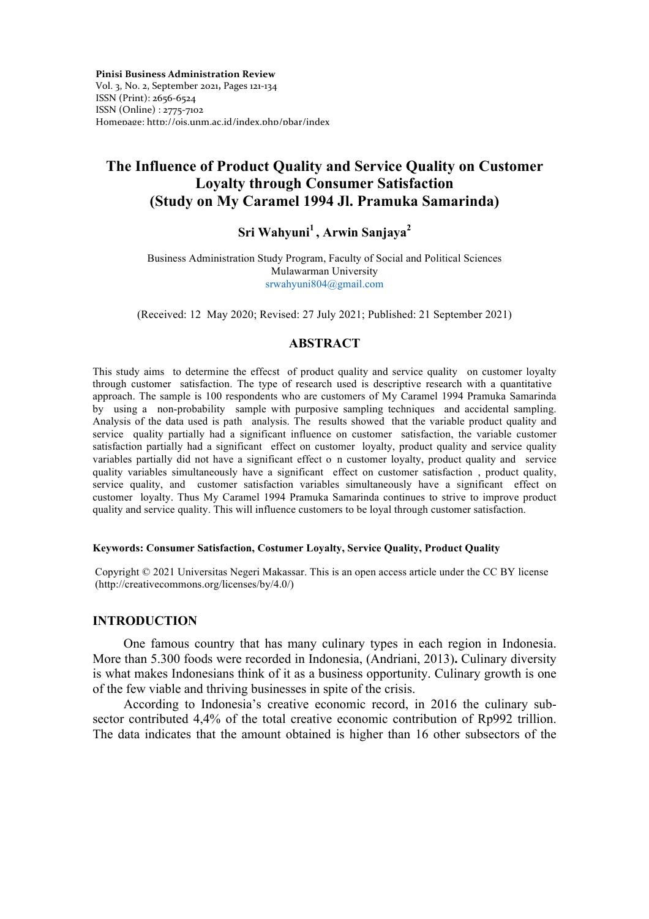**Pinisi Business Administration Review** Vol. 3, No. 2, September 2021**,** Pages 121-134 ISSN (Print): 2656-6524 ISSN (Online) : 2775-7102 Homepage: http://ojs.unm.ac.id/index.php/pbar/index

# **The Influence of Product Quality and Service Quality on Customer Loyalty through Consumer Satisfaction (Study on My Caramel 1994 Jl. Pramuka Samarinda)**

# **Sri Wahyuni<sup>1</sup>**, Arwin Sanjaya<sup>2</sup>

Business Administration Study Program, Faculty of Social and Political Sciences Mulawarman University srwahyuni804@gmail.com

(Received: 12 May 2020; Revised: 27 July 2021; Published: 21 September 2021)

### **ABSTRACT**

This study aims to determine the effecst of product quality and service quality on customer loyalty through customer ssatisfaction. The type of research used is descriptive research with a quantitativee approach. The sample is 100 respondents who are customers of My Caramel 1994 Pramuka Samarinda by using a non-probability sample with purposive sampling techniques and accidental sampling. Analysis of the data used is path analysis. The results showed that the variable product quality and service quality partially had a significant influence on customer satisfaction, the variable customer satisfaction partially had a significant effect on customer loyalty, product quality and service quality variables partially did not have a significant effect o n customer loyalty, product quality and service quality variables simultaneously have a significant effect on customer satisfaction, product quality, service quality, and customer satisfaction variables simultaneously have a significant effect on customer loyalty. Thus My Caramel 1994 Pramuka Samarinda continues to strive to improve product quality and service quality. This will influence customers to be loyal through customer satisfaction.

#### **Keywords: Consumer Satisfaction, Costumer Loyalty, Service Quality, Product Quality**

Copyright © 2021 Universitas Negeri Makassar. This is an open access article under the CC BY license (http://creativecommons.org/licenses/by/4.0/)

#### **INTRODUCTION**

One famous country that has many culinary types in each region in Indonesia. More than 5.300 foods were recorded in Indonesia, (Andriani, 2013)**.** Culinary diversity is what makes Indonesians think of it as a business opportunity. Culinary growth is one of the few viable and thriving businesses in spite of the crisis.

According to Indonesia's creative economic record, in 2016 the culinary subsector contributed 4,4% of the total creative economic contribution of Rp992 trillion. The data indicates that the amount obtained is higher than 16 other subsectors of the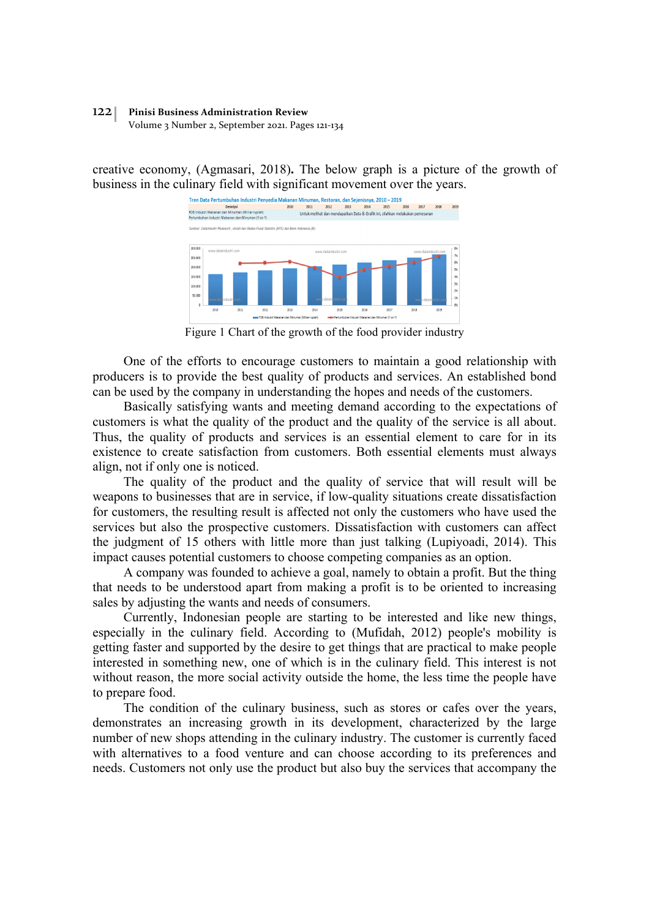Volume 3 Number 2, September 2021. Pages 121-134

creative economy, (Agmasari, 2018)**.** The below graph is a picture of the growth of business in the culinary field with significant movement over the years.



Figure 1 Chart of the growth of the food provider industry

One of the efforts to encourage customers to maintain a good relationship with producers is to provide the best quality of products and services. An established bond can be used by the company in understanding the hopes and needs of the customers.

Basically satisfying wants and meeting demand according to the expectations of customers is what the quality of the product and the quality of the service is all about. Thus, the quality of products and services is an essential element to care for in its existence to create satisfaction from customers. Both essential elements must always align, not if only one is noticed.

The quality of the product and the quality of service that will result will be weapons to businesses that are in service, if low-quality situations create dissatisfaction for customers, the resulting result is affected not only the customers who have used the services but also the prospective customers. Dissatisfaction with customers can affect the judgment of 15 others with little more than just talking (Lupiyoadi, 2014). This impact causes potential customers to choose competing companies as an option.

A company was founded to achieve a goal, namely to obtain a profit. But the thing that needs to be understood apart from making a profit is to be oriented to increasing sales by adjusting the wants and needs of consumers.

Currently, Indonesian people are starting to be interested and like new things, especially in the culinary field. According to (Mufidah, 2012) people's mobility is getting faster and supported by the desire to get things that are practical to make people interested in something new, one of which is in the culinary field. This interest is not without reason, the more social activity outside the home, the less time the people have to prepare food.

The condition of the culinary business, such as stores or cafes over the years, demonstrates an increasing growth in its development, characterized by the large number of new shops attending in the culinary industry. The customer is currently faced with alternatives to a food venture and can choose according to its preferences and needs. Customers not only use the product but also buy the services that accompany the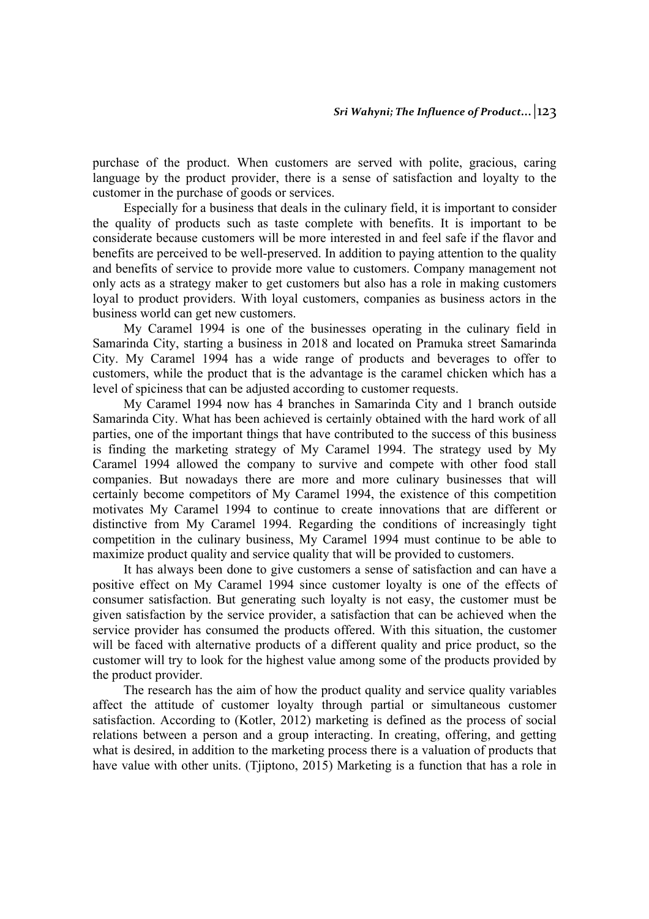purchase of the product. When customers are served with polite, gracious, caring language by the product provider, there is a sense of satisfaction and loyalty to the customer in the purchase of goods or services.

Especially for a business that deals in the culinary field, it is important to consider the quality of products such as taste complete with benefits. It is important to be considerate because customers will be more interested in and feel safe if the flavor and benefits are perceived to be well-preserved. In addition to paying attention to the quality and benefits of service to provide more value to customers. Company management not only acts as a strategy maker to get customers but also has a role in making customers loyal to product providers. With loyal customers, companies as business actors in the business world can get new customers.

My Caramel 1994 is one of the businesses operating in the culinary field in Samarinda City, starting a business in 2018 and located on Pramuka street Samarinda City. My Caramel 1994 has a wide range of products and beverages to offer to customers, while the product that is the advantage is the caramel chicken which has a level of spiciness that can be adjusted according to customer requests.

My Caramel 1994 now has 4 branches in Samarinda City and 1 branch outside Samarinda City. What has been achieved is certainly obtained with the hard work of all parties, one of the important things that have contributed to the success of this business is finding the marketing strategy of My Caramel 1994. The strategy used by My Caramel 1994 allowed the company to survive and compete with other food stall companies. But nowadays there are more and more culinary businesses that will certainly become competitors of My Caramel 1994, the existence of this competition motivates My Caramel 1994 to continue to create innovations that are different or distinctive from My Caramel 1994. Regarding the conditions of increasingly tight competition in the culinary business, My Caramel 1994 must continue to be able to maximize product quality and service quality that will be provided to customers.

It has always been done to give customers a sense of satisfaction and can have a positive effect on My Caramel 1994 since customer loyalty is one of the effects of consumer satisfaction. But generating such loyalty is not easy, the customer must be given satisfaction by the service provider, a satisfaction that can be achieved when the service provider has consumed the products offered. With this situation, the customer will be faced with alternative products of a different quality and price product, so the customer will try to look for the highest value among some of the products provided by the product provider.

The research has the aim of how the product quality and service quality variables affect the attitude of customer loyalty through partial or simultaneous customer satisfaction. According to (Kotler, 2012) marketing is defined as the process of social relations between a person and a group interacting. In creating, offering, and getting what is desired, in addition to the marketing process there is a valuation of products that have value with other units. (Tjiptono, 2015) Marketing is a function that has a role in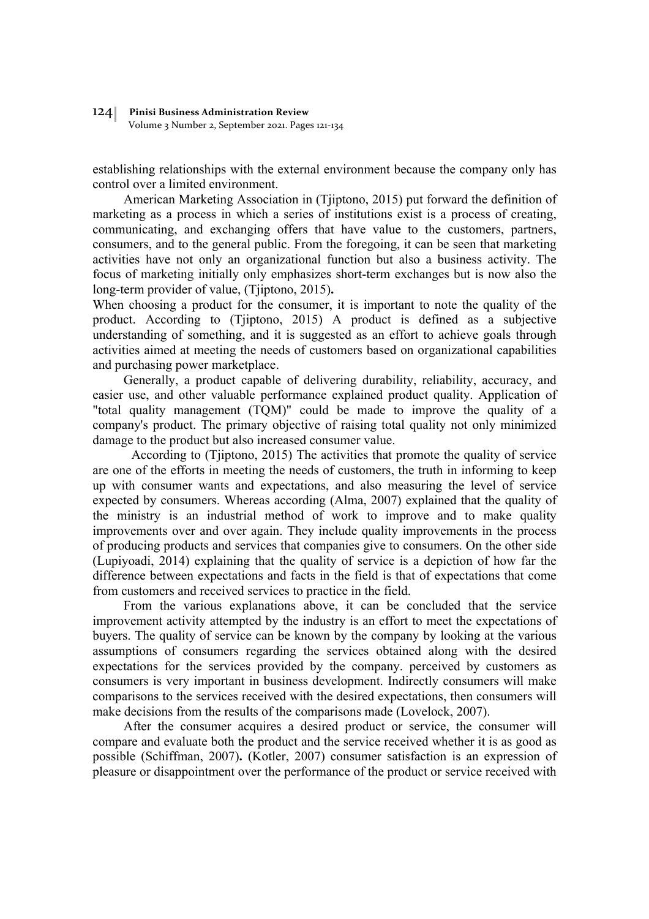Volume 3 Number 2, September 2021. Pages 121-134

establishing relationships with the external environment because the company only has control over a limited environment.

American Marketing Association in (Tjiptono, 2015) put forward the definition of marketing as a process in which a series of institutions exist is a process of creating, communicating, and exchanging offers that have value to the customers, partners, consumers, and to the general public. From the foregoing, it can be seen that marketing activities have not only an organizational function but also a business activity. The focus of marketing initially only emphasizes short-term exchanges but is now also the long-term provider of value, (Tjiptono, 2015)**.**

When choosing a product for the consumer, it is important to note the quality of the product. According to (Tjiptono, 2015) A product is defined as a subjective understanding of something, and it is suggested as an effort to achieve goals through activities aimed at meeting the needs of customers based on organizational capabilities and purchasing power marketplace.

Generally, a product capable of delivering durability, reliability, accuracy, and easier use, and other valuable performance explained product quality. Application of "total quality management (TQM)" could be made to improve the quality of a company's product. The primary objective of raising total quality not only minimized damage to the product but also increased consumer value.

According to (Tjiptono, 2015) The activities that promote the quality of service are one of the efforts in meeting the needs of customers, the truth in informing to keep up with consumer wants and expectations, and also measuring the level of service expected by consumers. Whereas according (Alma, 2007) explained that the quality of the ministry is an industrial method of work to improve and to make quality improvements over and over again. They include quality improvements in the process of producing products and services that companies give to consumers. On the other side (Lupiyoadi, 2014) explaining that the quality of service is a depiction of how far the difference between expectations and facts in the field is that of expectations that come from customers and received services to practice in the field.

From the various explanations above, it can be concluded that the service improvement activity attempted by the industry is an effort to meet the expectations of buyers. The quality of service can be known by the company by looking at the various assumptions of consumers regarding the services obtained along with the desired expectations for the services provided by the company. perceived by customers as consumers is very important in business development. Indirectly consumers will make comparisons to the services received with the desired expectations, then consumers will make decisions from the results of the comparisons made (Lovelock, 2007).

After the consumer acquires a desired product or service, the consumer will compare and evaluate both the product and the service received whether it is as good as possible (Schiffman, 2007)**.** (Kotler, 2007) consumer satisfaction is an expression of pleasure or disappointment over the performance of the product or service received with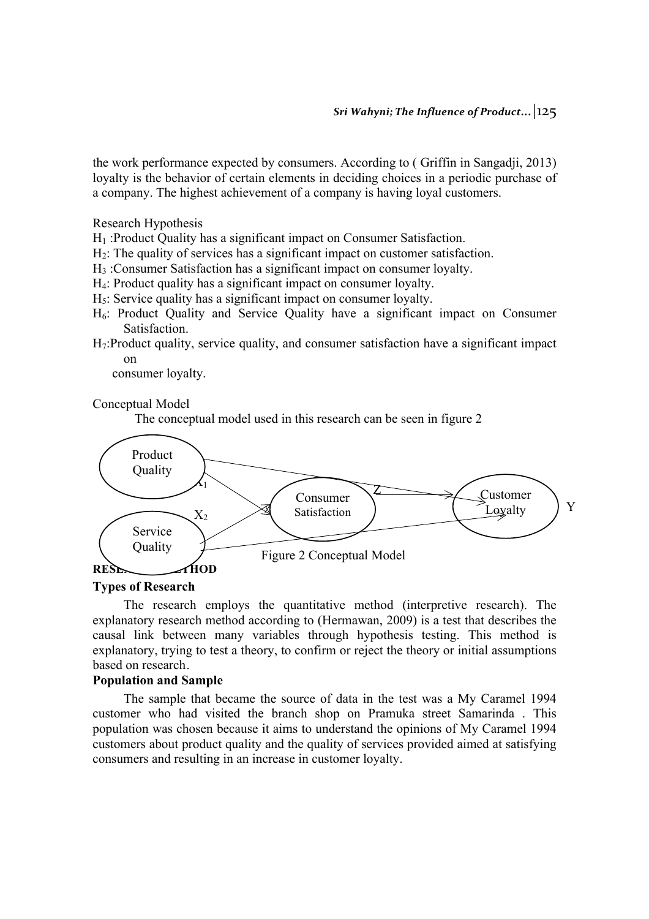the work performance expected by consumers. According to ( Griffin in Sangadji, 2013) loyalty is the behavior of certain elements in deciding choices in a periodic purchase of a company. The highest achievement of a company is having loyal customers.

Research Hypothesis

- H1 :Product Quality has a significant impact on Consumer Satisfaction.
- H2: The quality of services has a significant impact on customer satisfaction.
- H3 :Consumer Satisfaction has a significant impact on consumer loyalty.
- H4: Product quality has a significant impact on consumer loyalty.
- $H<sub>5</sub>$ : Service quality has a significant impact on consumer loyalty.
- H6: Product Quality and Service Quality have a significant impact on Consumer Satisfaction.
- H7:Product quality, service quality, and consumer satisfaction have a significant impact on

consumer loyalty.

#### Conceptual Model

The conceptual model used in this research can be seen in figure 2



#### **Types of Research**

The research employs the quantitative method (interpretive research). The explanatory research method according to (Hermawan, 2009) is a test that describes the causal link between many variables through hypothesis testing. This method is explanatory, trying to test a theory, to confirm or reject the theory or initial assumptions based on research.

### **Population and Sample**

The sample that became the source of data in the test was a My Caramel 1994 customer who had visited the branch shop on Pramuka street Samarinda . This population was chosen because it aims to understand the opinions of My Caramel 1994 customers about product quality and the quality of services provided aimed at satisfying consumers and resulting in an increase in customer loyalty.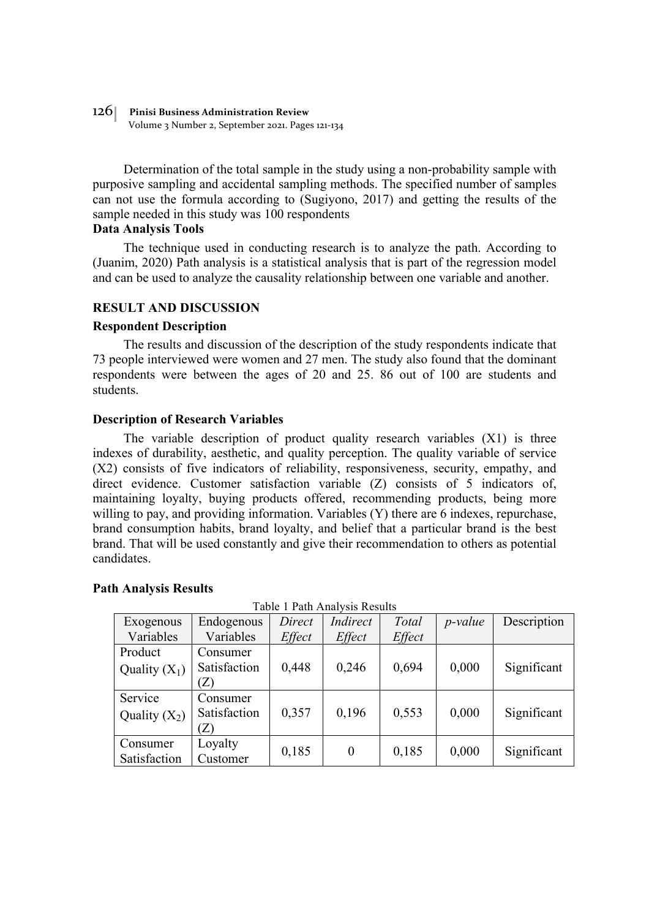Volume 3 Number 2, September 2021. Pages 121-134

Determination of the total sample in the study using a non-probability sample with purposive sampling and accidental sampling methods. The specified number of samples can not use the formula according to (Sugiyono, 2017) and getting the results of the sample needed in this study was 100 respondents

### **Data Analysis Tools**

The technique used in conducting research is to analyze the path. According to (Juanim, 2020) Path analysis is a statistical analysis that is part of the regression model and can be used to analyze the causality relationship between one variable and another.

### **RESULT AND DISCUSSION**

### **Respondent Description**

The results and discussion of the description of the study respondents indicate that 73 people interviewed were women and 27 men. The study also found that the dominant respondents were between the ages of 20 and 25. 86 out of 100 are students and students.

### **Description of Research Variables**

The variable description of product quality research variables (X1) is three indexes of durability, aesthetic, and quality perception. The quality variable of service (X2) consists of five indicators of reliability, responsiveness, security, empathy, and direct evidence. Customer satisfaction variable (Z) consists of 5 indicators of, maintaining loyalty, buying products offered, recommending products, being more willing to pay, and providing information. Variables (Y) there are 6 indexes, repurchase, brand consumption habits, brand loyalty, and belief that a particular brand is the best brand. That will be used constantly and give their recommendation to others as potential candidates.

| Table 1 I am Analysis Results |                            |        |                  |        |            |             |  |  |  |  |
|-------------------------------|----------------------------|--------|------------------|--------|------------|-------------|--|--|--|--|
| Exogenous                     | Endogenous                 | Direct | Indirect         | Total  | $p$ -value | Description |  |  |  |  |
| Variables                     | Variables                  | Effect | Effect           | Effect |            |             |  |  |  |  |
| Product                       | Consumer                   |        |                  |        |            |             |  |  |  |  |
| Quality $(X_1)$               | Satisfaction               | 0,448  | 0,246            | 0,694  | 0,000      | Significant |  |  |  |  |
|                               | $\left( \mathbf{Z}\right)$ |        |                  |        |            |             |  |  |  |  |
| Service                       | Consumer                   |        |                  |        |            |             |  |  |  |  |
| Quality $(X_2)$               | Satisfaction               | 0,357  | 0,196            | 0,553  | 0,000      | Significant |  |  |  |  |
|                               | $\left( \text{Z}\right)$   |        |                  |        |            |             |  |  |  |  |
| Consumer                      | Loyalty                    | 0,185  | $\boldsymbol{0}$ | 0,185  | 0,000      | Significant |  |  |  |  |
| Satisfaction                  | Customer                   |        |                  |        |            |             |  |  |  |  |

### **Path Analysis Results**

Table 1 Path Analysis Results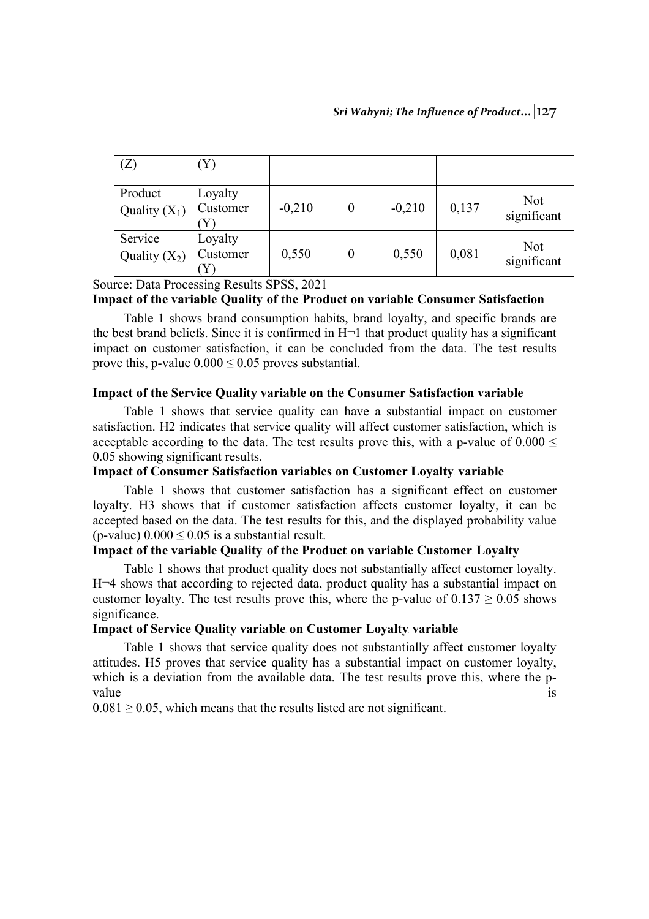| (Z)                        | (Y)                 |          |                  |          |       |                           |
|----------------------------|---------------------|----------|------------------|----------|-------|---------------------------|
| Product<br>Quality $(X_1)$ | Loyalty<br>Customer | $-0,210$ | $\boldsymbol{0}$ | $-0,210$ | 0,137 | <b>Not</b><br>significant |
| Service<br>Quality $(X_2)$ | Loyalty<br>Customer | 0,550    | $\boldsymbol{0}$ | 0,550    | 0,081 | <b>Not</b><br>significant |

Source: Data Processing Results SPSS, 2021

### **Impact** of the variable Quality of the Product on variable Consumer Satisfaction

Table 1 shows brand consumption habits, brand loyalty, and specific brands are the best brand beliefs. Since it is confirmed in  $H\neg 1$  that product quality has a significant impact on customer satisfaction, it can be concluded from the data. The test results prove this, p-value  $0.000 \le 0.05$  proves substantial.

#### **Impact of the Service Quality variable on the Consumer Satisfaction variable**

Table 1 shows that service quality can have a substantial impact on customer satisfaction. H2 indicates that service quality will affect customer satisfaction, which is acceptable according to the data. The test results prove this, with a p-value of  $0.000 \leq$ 0.05 showing significant results.

### **Impact of Consumer Satisfaction variables on Customer Loyalty variable**

Table 1 shows that customer satisfaction has a significant effect on customer loyalty. H3 shows that if customer satisfaction affects customer loyalty, it can be accepted based on the data. The test results for this, and the displayed probability value (p-value)  $0.000 \le 0.05$  is a substantial result.

### **Impact of the variable Quality of the Product on variable Customer Loyalty.**

Table 1 shows that product quality does not substantially affect customer loyalty. H¬4 shows that according to rejected data, product quality has a substantial impact on customer loyalty. The test results prove this, where the p-value of  $0.137 \ge 0.05$  shows significance.

### **Impact of Service Quality variable on Customer Loyalty variable**

Table 1 shows that service quality does not substantially affect customer loyalty attitudes. H5 proves that service quality has a substantial impact on customer loyalty, which is a deviation from the available data. The test results prove this, where the pvalue is the contract of the contract of the contract of the contract of the contract of the contract of the contract of the contract of the contract of the contract of the contract of the contract of the contract of the c

 $0.081 > 0.05$ , which means that the results listed are not significant.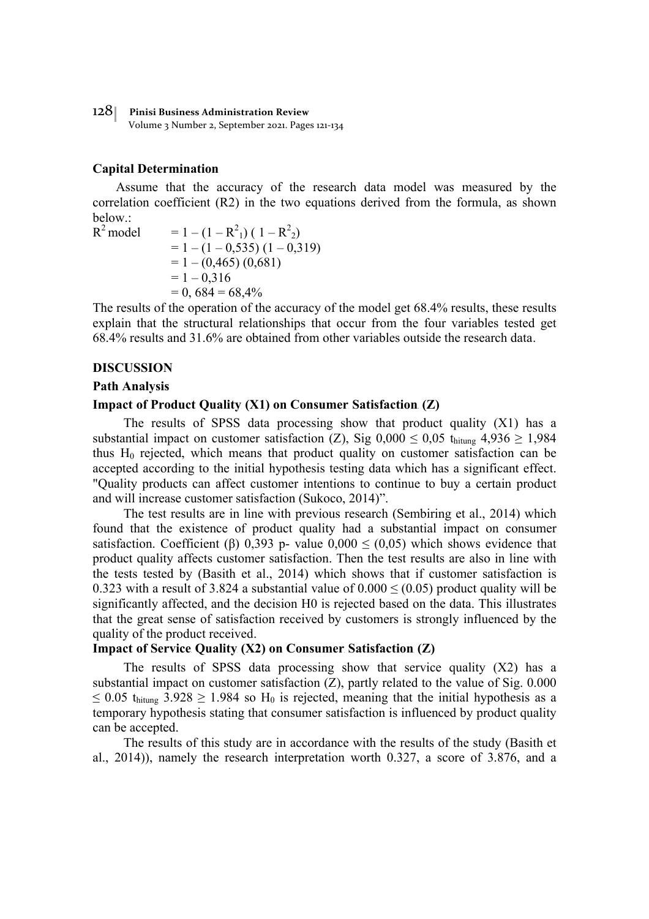Volume 3 Number 2, September 2021. Pages 121-134

#### **Capital Determination**

Assume that the accuracy of the research data model was measured by the correlation coefficient (R2) in the two equations derived from the formula, as shown below.:<br> $R^2 \text{ model}$ 

 $R^2$  model = 1 – (1 –  $R^2$ <sub>1</sub>) (1 –  $R^2$ <sub>2</sub>)  $= 1 - (1 - 0.535)(1 - 0.319)$  $= 1 - (0.465) (0.681)$  $= 1 - 0,316$  $= 0.684 = 68,4%$ 

The results of the operation of the accuracy of the model get 68.4% results, these results explain that the structural relationships that occur from the four variables tested get 68.4% results and 31.6% are obtained from other variables outside the research data.

#### **DISCUSSION**

#### **Path Analysis)**

#### **Impact of Product Quality (X1) on Consumer Satisfaction (Z)**

The results of SPSS data processing show that product quality (X1) has a substantial impact on customer satisfaction (Z), Sig  $0,000 \le 0,05$  thitung  $4,936 \ge 1,984$ thus  $H_0$  rejected, which means that product quality on customer satisfaction can be accepted according to the initial hypothesis testing data which has a significant effect. "Quality products can affect customer intentions to continue to buy a certain product and will increase customer satisfaction (Sukoco, 2014)".

The test results are in line with previous research (Sembiring et al., 2014) which found that the existence of product quality had a substantial impact on consumer satisfaction. Coefficient (β) 0,393 p- value  $0,000 \le (0,05)$  which shows evidence that product quality affects customer satisfaction. Then the test results are also in line with the tests tested by (Basith et al., 2014) which shows that if customer satisfaction is 0.323 with a result of 3.824 a substantial value of  $0.000 \le (0.05)$  product quality will be significantly affected, and the decision H0 is rejected based on the data. This illustrates that the great sense of satisfaction received by customers is strongly influenced by the quality of the product received.

### **Impact of Service Quality** (X2) on Consumer Satisfaction (Z)

The results of SPSS data processing show that service quality (X2) has a substantial impact on customer satisfaction (Z), partly related to the value of Sig. 0.000  $\leq$  0.05 thitung 3.928  $\geq$  1.984 so H<sub>0</sub> is rejected, meaning that the initial hypothesis as a temporary hypothesis stating that consumer satisfaction is influenced by product quality can be accepted.

The results of this study are in accordance with the results of the study (Basith et al., 2014)), namely the research interpretation worth 0.327, a score of 3.876, and a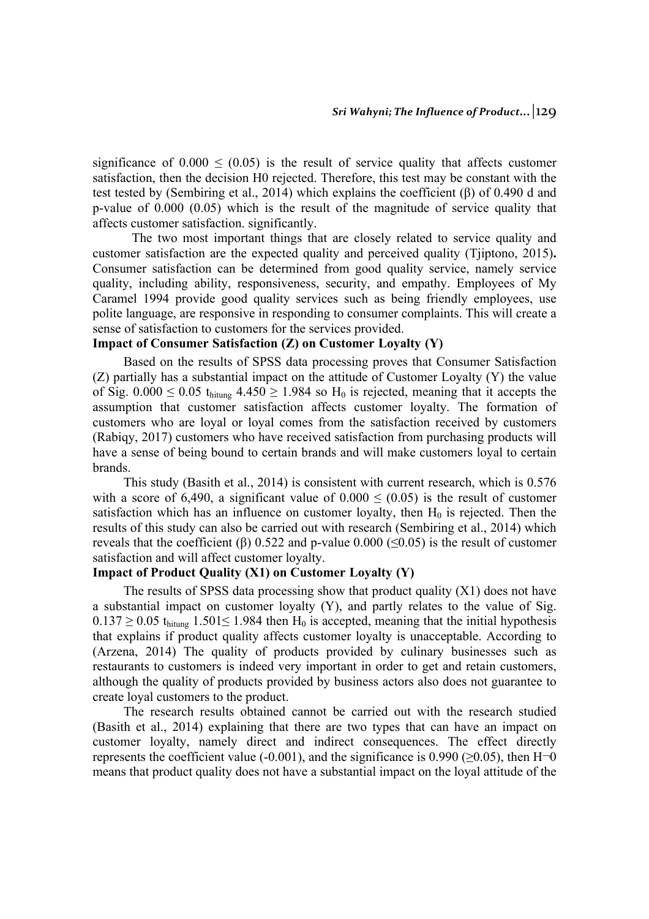significance of  $0.000 \le (0.05)$  is the result of service quality that affects customer satisfaction, then the decision H0 rejected. Therefore, this test may be constant with the test tested by (Sembiring et al., 2014) which explains the coefficient (β) of 0.490 d and p-value of 0.000 (0.05) which is the result of the magnitude of service quality that affects customer satisfaction. significantly.

The two most important things that are closely related to service quality and customer satisfaction are the expected quality and perceived quality (Tjiptono, 2015)**.**  Consumer satisfaction can be determined from good quality service, namely service quality, including ability, responsiveness, security, and empathy. Employees of My Caramel 1994 provide good quality services such as being friendly employees, use polite language, are responsive in responding to consumer complaints. This will create a sense of satisfaction to customers for the services provided.

# **Impact of Consumer Satisfaction (Z) on Customer Loyalty (Y)**

Based on the results of SPSS data processing proves that Consumer Satisfaction (Z) partially has a substantial impact on the attitude of Customer Loyalty (Y) the value of Sig.  $0.000 \le 0.05$  thitung  $4.450 \ge 1.984$  so H<sub>0</sub> is rejected, meaning that it accepts the assumption that customer satisfaction affects customer loyalty. The formation of customers who are loyal or loyal comes from the satisfaction received by customers (Rabiqy, 2017) customers who have received satisfaction from purchasing products will have a sense of being bound to certain brands and will make customers loyal to certain brands.

This study (Basith et al., 2014) is consistent with current research, which is 0.576 with a score of 6,490, a significant value of  $0.000 \le (0.05)$  is the result of customer satisfaction which has an influence on customer loyalty, then  $H_0$  is rejected. Then the results of this study can also be carried out with research (Sembiring et al., 2014) which reveals that the coefficient (β) 0.522 and p-value 0.000 ( $\leq$ 0.05) is the result of customer satisfaction and will affect customer loyalty.

#### **Impact of Product Quality (X1) on Customer Loyalty (Y)**

The results of SPSS data processing show that product quality  $(X1)$  does not have a substantial impact on customer loyalty (Y), and partly relates to the value of Sig.  $0.137 \ge 0.05$  thinns 1.501≤ 1.984 then H<sub>0</sub> is accepted, meaning that the initial hypothesis that explains if product quality affects customer loyalty is unacceptable. According to (Arzena, 2014) The quality of products provided by culinary businesses such as restaurants to customers is indeed very important in order to get and retain customers, although the quality of products provided by business actors also does not guarantee to create loyal customers to the product.

The research results obtained cannot be carried out with the research studied (Basith et al., 2014) explaining that there are two types that can have an impact on customer loyalty, namely direct and indirect consequences. The effect directly represents the coefficient value (-0.001), and the significance is 0.990 ( $>0.05$ ), then H $\neg$ 0 means that product quality does not have a substantial impact on the loyal attitude of the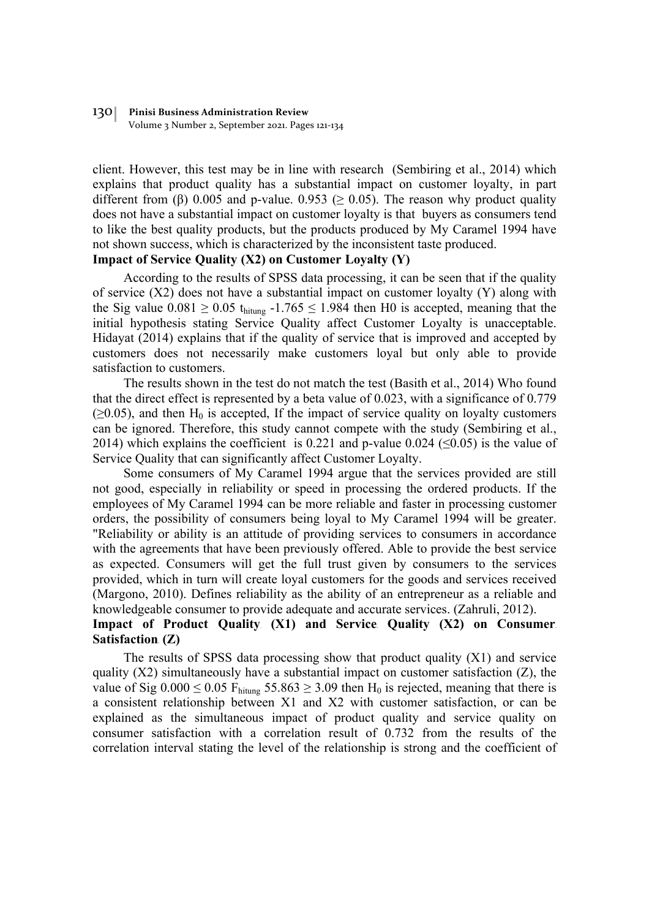Volume 3 Number 2, September 2021. Pages 121-134

client. However, this test may be in line with research (Sembiring et al., 2014) which explains that product quality has a substantial impact on customer loyalty, in part different from (β) 0.005 and p-value. 0.953 ( $\geq$  0.05). The reason why product quality does not have a substantial impact on customer loyalty is that buyers as consumers tend to like the best quality products, but the products produced by My Caramel 1994 have not shown success, which is characterized by the inconsistent taste produced.

### **Impact of Service Quality (X2) on Customer Loyalty (Y)**

According to the results of SPSS data processing, it can be seen that if the quality of service (X2) does not have a substantial impact on customer loyalty (Y) along with the Sig value  $0.081 \ge 0.05$  thitung  $-1.765 \le 1.984$  then H0 is accepted, meaning that the initial hypothesis stating Service Quality affect Customer Loyalty is unacceptable. Hidayat (2014) explains that if the quality of service that is improved and accepted by customers does not necessarily make customers loyal but only able to provide satisfaction to customers.

The results shown in the test do not match the test (Basith et al., 2014) Who found that the direct effect is represented by a beta value of 0.023, with a significance of 0.779  $(\geq 0.05)$ , and then H<sub>0</sub> is accepted. If the impact of service quality on loyalty customers can be ignored. Therefore, this study cannot compete with the study (Sembiring et al., 2014) which explains the coefficient is 0.221 and p-value 0.024 ( $\leq$ 0.05) is the value of Service Quality that can significantly affect Customer Loyalty.

Some consumers of My Caramel 1994 argue that the services provided are still not good, especially in reliability or speed in processing the ordered products. If the employees of My Caramel 1994 can be more reliable and faster in processing customer orders, the possibility of consumers being loyal to My Caramel 1994 will be greater. "Reliability or ability is an attitude of providing services to consumers in accordance with the agreements that have been previously offered. Able to provide the best service as expected. Consumers will get the full trust given by consumers to the services provided, which in turn will create loyal customers for the goods and services received (Margono, 2010). Defines reliability as the ability of an entrepreneur as a reliable and knowledgeable consumer to provide adequate and accurate services. (Zahruli, 2012).

### **Impact of Product Quality** (X1) and Service Quality (X2) on Consumer. **Satisfaction** (**Z**)

The results of SPSS data processing show that product quality  $(X1)$  and service quality  $(X2)$  simultaneously have a substantial impact on customer satisfaction  $(Z)$ , the value of Sig  $0.000 \le 0.05$  F<sub>hitung</sub> 55.863  $\ge 3.09$  then H<sub>0</sub> is rejected, meaning that there is a consistent relationship between X1 and X2 with customer satisfaction, or can be explained as the simultaneous impact of product quality and service quality on consumer satisfaction with a correlation result of 0.732 from the results of the correlation interval stating the level of the relationship is strong and the coefficient of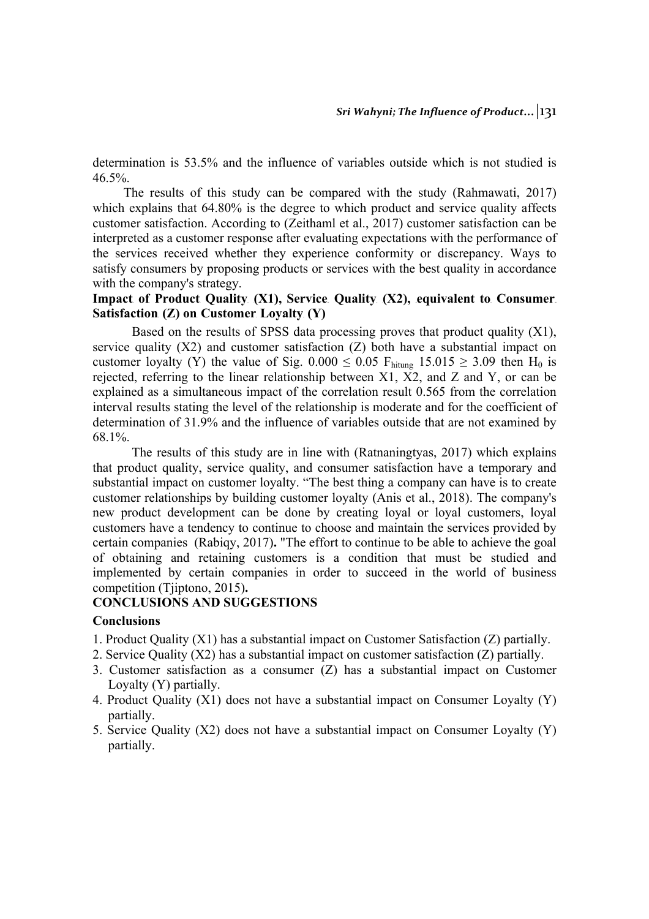determination is 53.5% and the influence of variables outside which is not studied is  $46.5\%$ .

The results of this study can be compared with the study (Rahmawati, 2017) which explains that 64.80% is the degree to which product and service quality affects customer satisfaction. According to (Zeithaml et al., 2017) customer satisfaction can be interpreted as a customer response after evaluating expectations with the performance of the services received whether they experience conformity or discrepancy. Ways to satisfy consumers by proposing products or services with the best quality in accordance with the company's strategy.

### **Impact of Product Quality (X1), Service Quality (X2), equivalent to Consumer. Satisfaction (Z) on Customer Loyalty (Y)**

Based on the results of SPSS data processing proves that product quality (X1), service quality  $(X2)$  and customer satisfaction  $(Z)$  both have a substantial impact on customer loyalty (Y) the value of Sig.  $0.000 \le 0.05$  F<sub>hitung</sub> 15.015  $\ge 3.09$  then H<sub>0</sub> is rejected, referring to the linear relationship between X1, X2, and Z and Y, or can be explained as a simultaneous impact of the correlation result 0.565 from the correlation interval results stating the level of the relationship is moderate and for the coefficient of determination of 31.9% and the influence of variables outside that are not examined by 68.1%.

The results of this study are in line with (Ratnaningtyas, 2017) which explains that product quality, service quality, and consumer satisfaction have a temporary and substantial impact on customer loyalty. "The best thing a company can have is to create customer relationships by building customer loyalty (Anis et al., 2018). The company's new product development can be done by creating loyal or loyal customers, loyal customers have a tendency to continue to choose and maintain the services provided by certain companies (Rabiqy, 2017)**.** "The effort to continue to be able to achieve the goal of obtaining and retaining customers is a condition that must be studied and implemented by certain companies in order to succeed in the world of business competition (Tjiptono, 2015)**.** 

#### **CONCLUSIONS AND SUGGESTIONS**

#### **Conclusions**

- 1. Product Quality (X1) has a substantial impact on Customer Satisfaction (Z) partially.
- 2. Service Quality (X2) has a substantial impact on customer satisfaction (Z) partially.
- 3. Customer satisfaction as a consumer (Z) has a substantial impact on Customer Loyalty (Y) partially.
- 4. Product Quality (X1) does not have a substantial impact on Consumer Loyalty (Y) partially.
- 5. Service Quality (X2) does not have a substantial impact on Consumer Loyalty (Y) partially.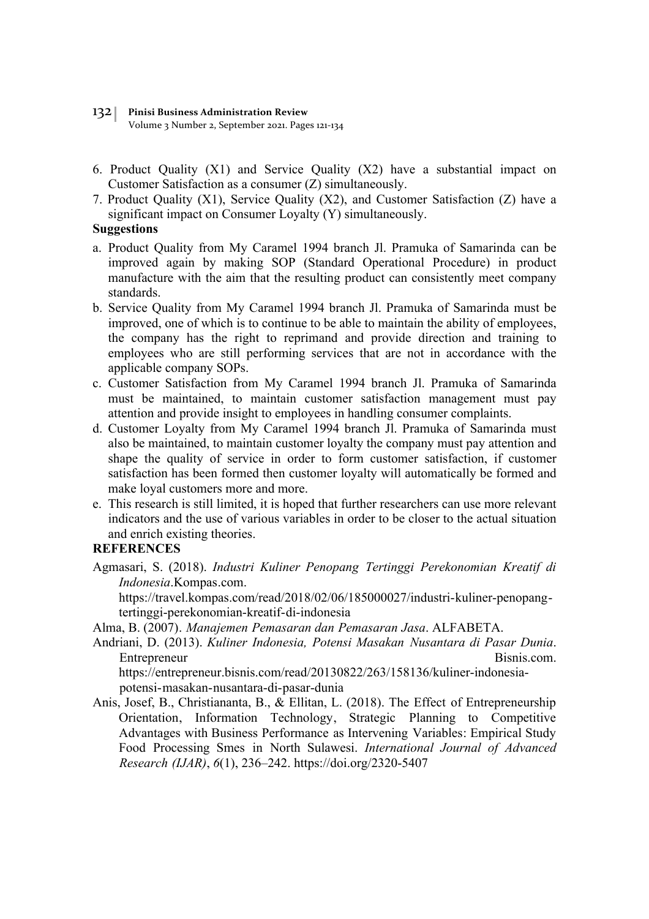- 132 **Pinisi Business Administration Review** Volume 3 Number 2, September 2021. Pages 121-134
- 6. Product Quality (X1) and Service Quality (X2) have a substantial impact on Customer Satisfaction as a consumer (Z) simultaneously.
- 7. Product Quality (X1), Service Quality (X2), and Customer Satisfaction (Z) have a significant impact on Consumer Loyalty (Y) simultaneously.

#### **Suggestions**

- a. Product Quality from My Caramel 1994 branch Jl. Pramuka of Samarinda can be improved again by making SOP (Standard Operational Procedure) in product manufacture with the aim that the resulting product can consistently meet company standards.
- b. Service Quality from My Caramel 1994 branch Jl. Pramuka of Samarinda must be improved, one of which is to continue to be able to maintain the ability of employees, the company has the right to reprimand and provide direction and training to employees who are still performing services that are not in accordance with the applicable company SOPs.
- c. Customer Satisfaction from My Caramel 1994 branch Jl. Pramuka of Samarinda must be maintained, to maintain customer satisfaction management must pay attention and provide insight to employees in handling consumer complaints.
- d. Customer Loyalty from My Caramel 1994 branch Jl. Pramuka of Samarinda must also be maintained, to maintain customer loyalty the company must pay attention and shape the quality of service in order to form customer satisfaction, if customer satisfaction has been formed then customer loyalty will automatically be formed and make loyal customers more and more.
- e. This research is still limited, it is hoped that further researchers can use more relevant indicators and the use of various variables in order to be closer to the actual situation and enrich existing theories.

### **REFERENCES**

Agmasari, S. (2018). *Industri Kuliner Penopang Tertinggi Perekonomian Kreatif di Indonesia.Kompas.com.* https://travel.kompas.com/read/2018/02/06/185000027/industri-kuliner-penopangtertinggi-perekonomian-kreatif-di-indonesiaa

Alma, B. (2007)). m*Manajemen pPemasaran dann Pemasarann Jasa*. ALFABETA.

- Andriani, D. (2013). *Kuliner Indonesia, Potensi Masakan Nusantara di Pasar Dunia.* Entrepreneur Bisnis.com. https://entrepreneur.bisnis.com/read/20130822/263/158136/kuliner-indonesiapotensi-masakan-nusantara-di-pasar-duniaa
- Anis, Josef, B., Christiananta, B., & Ellitan, L. (2018). The Effect of Entrepreneurship Orientation, Information Technology, Strategic Planning to Competitive Advantages with Business Performance as Intervening Variables: Empirical Study Food Processing Smes in North Sulawesi. *International Journal of Advanced rResearchh (IJAR)*, *6*(1), 236–242. https://doi.org/2320-5407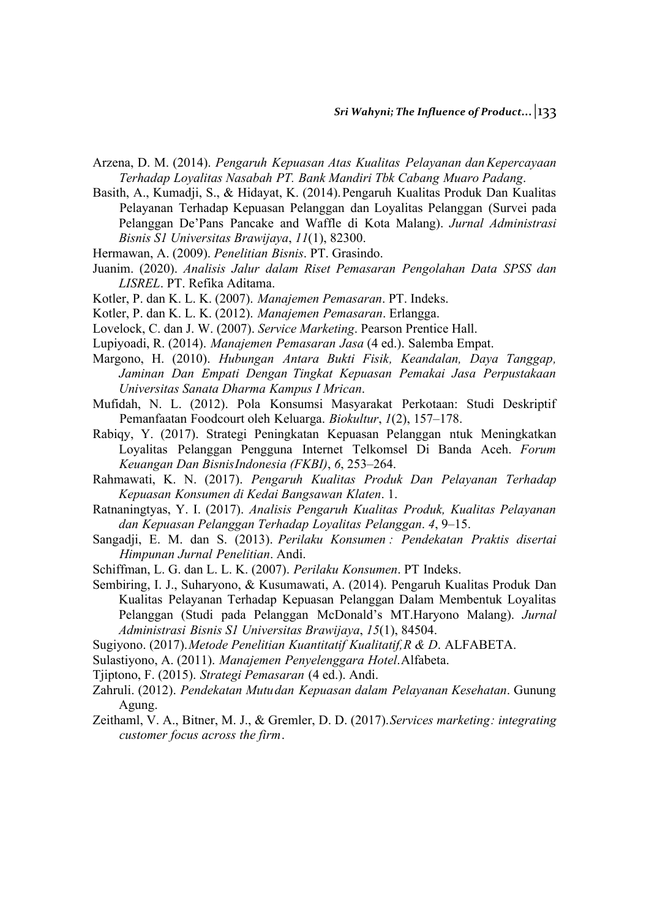Arzena, D. M. (2014). Pengaruh *Kepuasan Atas Kualitas Pelayanan dan Kepercayaan tTerhadapp Loyalitas Nasabahh PT. bBank Mandiri Tbk Cabang mMuaro Padang*.

Basith, A., Kumadji, S., & Hidayat, K. (2014). Pengaruh Kualitas Produk Dan Kualitas Pelayanan Terhadap Kepuasan Pelanggan dan Loyalitas Pelanggan (Survei pada Pelanggan De'Pans Pancake and Waffle di Kota Malang). *Jurnal Administrasi Bisnis S1 Universitas Brawijaya*, *11*(1), 82300.

Hermawan, A. (2009). *Penelitiann Bisnis*. PT. Grasindo.

Juanim. (2020). *Analisis Jalur dalam Riset Pemasaran Pengolahan Data SPSS dan LISREL*. PT. Refika Aditama.

Kotler, P. dan K. L. K. (2007). m*Manajemen Pemasaran*. PT. Indeks.

Kotler, P. dan K. L. K. (2012). Manajemen Pemasaran. Erlangga.

Lovelock, C. dan J. W. (2007). *Service Marketing*. Pearson Prentice Hall.

Lupiyoadi, R. (2014). *Manajemen Pemasaran Jasa* (4 ed.). Salemba Empat.

Margono, H. (2010). *Hubungan Antara Bukti Fisik, Keandalan, Daya Tanggap,* Jaminan Dan Empati Dengan Tingkat Kepuasan Pemakai Jasa Perpustakaan *Universitas Sanata Dharma Kampus I Mrican.* 

Mufidah, N. L. (2012). Pola Konsumsi Masyarakat Perkotaan: Studi Deskriptif Pemanfaatan Foodcourt oleh Keluarga. *Biokultur*, *1*(2), 157–178.

Rabiqy, Y. (2017). Strategi Peningkatan Kepuasan Pelanggan ntuk Meningkatkan Loyalitas Pelanggan Pengguna Internet Telkomsel Di Banda Aceh. *Forum kKeuangan Dan Bisniss Indonesia (FKBI)*, *6*, 253–264.

Rahmawati, K. N. (2017). Pengaruh Kualitas Produk Dan Pelayanan Terhadap Kepuasan Konsumen di Kedai Bangsawan Klaten. 1.

Ratnaningtyas, Y. I. (2017). Analisis Pengaruh Kualitas Produk, Kualitas Pelayanan *dan Kepuasan Pelanggan Terhadap Loyalitas Pelanggan. 4, 9–15.* 

Sangadji, E. M. dan S. (2013). Perilaku Konsumen : Pendekatan Praktis disertai *Himpunan Jurnal Penelitian. Andi.* 

Schiffman, L. G. dan L. L. K. (2007). Perilaku Konsumen. PT Indeks.

Sembiring, I. J., Suharyono, & Kusumawati, A. (2014). Pengaruh Kualitas Produk Dan Kualitas Pelayanan Terhadap Kepuasan Pelanggan Dalam Membentuk Loyalitas Pelanggan (Studi pada Pelanggan McDonald's MT.Haryono Malang). *Jurnal Administrasi Bisnis S1 Universitas Brawijaya, 15*(1), 84504.

Sugiyono. (2017). Metode Penelitian *Kuantitatif Kualitatif, R & D. ALFABETA.* 

Sulastiyono, A. (2011). Manajemen Penyelenggara Hotel. Alfabeta.

Tjiptono, F. (2015). Strategi Pemasaran (4 ed.). Andi.

Zahruli. (2012). Pendekatan Mutudan Kepuasan dalam Pelayanan Kesehatan. Gunung Agung.

Zeithaml, V. A., Bitner, M. J., & Gremler, D. D. (2017). Services marketing: integrating *customer focus across the firm.*